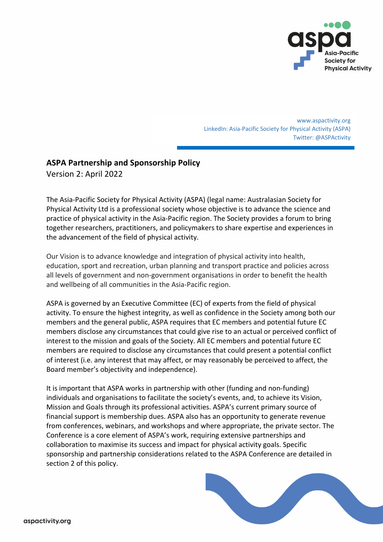

www.aspactivity.org LinkedIn: Asia-Pacific Society for Physical Activity (ASPA) Twitter: @ASPActivity

# **ASPA Partnership and Sponsorship Policy**

Version 2: April 2022

The Asia-Pacific Society for Physical Activity (ASPA) (legal name: Australasian Society for Physical Activity Ltd is a professional society whose objective is to advance the science and practice of physical activity in the Asia-Pacific region. The Society provides a forum to bring together researchers, practitioners, and policymakers to share expertise and experiences in the advancement of the field of physical activity.

Our Vision is to advance knowledge and integration of physical activity into health, education, sport and recreation, urban planning and transport practice and policies across all levels of government and non-government organisations in order to benefit the health and wellbeing of all communities in the Asia-Pacific region.

ASPA is governed by an Executive Committee (EC) of experts from the field of physical activity. To ensure the highest integrity, as well as confidence in the Society among both our members and the general public, ASPA requires that EC members and potential future EC members disclose any circumstances that could give rise to an actual or perceived conflict of interest to the mission and goals of the Society. All EC members and potential future EC members are required to disclose any circumstances that could present a potential conflict of interest (i.e. any interest that may affect, or may reasonably be perceived to affect, the Board member's objectivity and independence).

It is important that ASPA works in partnership with other (funding and non-funding) individuals and organisations to facilitate the society's events, and, to achieve its Vision, Mission and Goals through its professional activities. ASPA's current primary source of financial support is membership dues. ASPA also has an opportunity to generate revenue from conferences, webinars, and workshops and where appropriate, the private sector. The Conference is a core element of ASPA's work, requiring extensive partnerships and collaboration to maximise its success and impact for physical activity goals. Specific sponsorship and partnership considerations related to the ASPA Conference are detailed in section 2 of this policy.

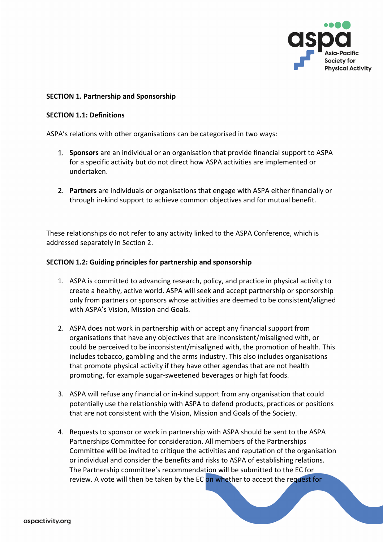

#### **SECTION 1. Partnership and Sponsorship**

#### **SECTION 1.1: Definitions**

ASPA's relations with other organisations can be categorised in two ways:

- 1. **Sponsors** are an individual or an organisation that provide financial support to ASPA for a specific activity but do not direct how ASPA activities are implemented or undertaken.
- 2. **Partners** are individuals or organisations that engage with ASPA either financially or through in-kind support to achieve common objectives and for mutual benefit.

These relationships do not refer to any activity linked to the ASPA Conference, which is addressed separately in Section 2.

#### **SECTION 1.2: Guiding principles for partnership and sponsorship**

- 1. ASPA is committed to advancing research, policy, and practice in physical activity to create a healthy, active world. ASPA will seek and accept partnership or sponsorship only from partners or sponsors whose activities are deemed to be consistent/aligned with ASPA's Vision, Mission and Goals.
- 2. ASPA does not work in partnership with or accept any financial support from organisations that have any objectives that are inconsistent/misaligned with, or could be perceived to be inconsistent/misaligned with, the promotion of health. This includes tobacco, gambling and the arms industry. This also includes organisations that promote physical activity if they have other agendas that are not health promoting, for example sugar-sweetened beverages or high fat foods.
- 3. ASPA will refuse any financial or in-kind support from any organisation that could potentially use the relationship with ASPA to defend products, practices or positions that are not consistent with the Vision, Mission and Goals of the Society.
- 4. Requests to sponsor or work in partnership with ASPA should be sent to the ASPA Partnerships Committee for consideration. All members of the Partnerships Committee will be invited to critique the activities and reputation of the organisation or individual and consider the benefits and risks to ASPA of establishing relations. The Partnership committee's recommendation will be submitted to the EC for review. A vote will then be taken by the EC on whether to accept the request for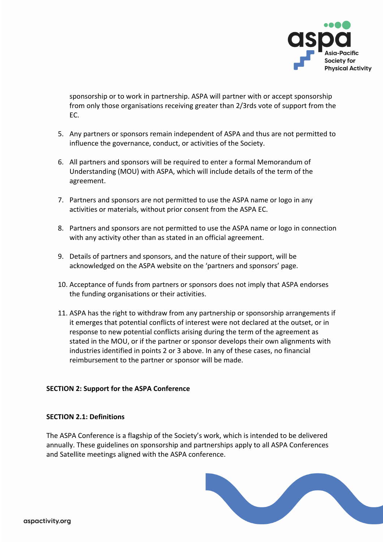

sponsorship or to work in partnership. ASPA will partner with or accept sponsorship from only those organisations receiving greater than 2/3rds vote of support from the EC.

- 5. Any partners or sponsors remain independent of ASPA and thus are not permitted to influence the governance, conduct, or activities of the Society.
- 6. All partners and sponsors will be required to enter a formal Memorandum of Understanding (MOU) with ASPA, which will include details of the term of the agreement.
- 7. Partners and sponsors are not permitted to use the ASPA name or logo in any activities or materials, without prior consent from the ASPA EC.
- 8. Partners and sponsors are not permitted to use the ASPA name or logo in connection with any activity other than as stated in an official agreement.
- 9. Details of partners and sponsors, and the nature of their support, will be acknowledged on the ASPA website on the 'partners and sponsors' page.
- 10. Acceptance of funds from partners or sponsors does not imply that ASPA endorses the funding organisations or their activities.
- 11. ASPA has the right to withdraw from any partnership or sponsorship arrangements if it emerges that potential conflicts of interest were not declared at the outset, or in response to new potential conflicts arising during the term of the agreement as stated in the MOU, or if the partner or sponsor develops their own alignments with industries identified in points 2 or 3 above. In any of these cases, no financial reimbursement to the partner or sponsor will be made.

## **SECTION 2: Support for the ASPA Conference**

## **SECTION 2.1: Definitions**

The ASPA Conference is a flagship of the Society's work, which is intended to be delivered annually. These guidelines on sponsorship and partnerships apply to all ASPA Conferences and Satellite meetings aligned with the ASPA conference.

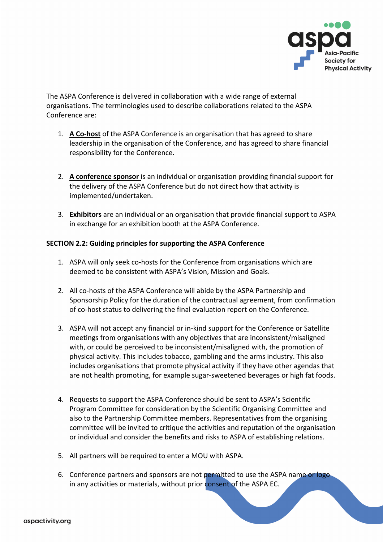

The ASPA Conference is delivered in collaboration with a wide range of external organisations. The terminologies used to describe collaborations related to the ASPA Conference are:

- 1. **A Co-host** of the ASPA Conference is an organisation that has agreed to share leadership in the organisation of the Conference, and has agreed to share financial responsibility for the Conference.
- 2. **A conference sponsor** is an individual or organisation providing financial support for the delivery of the ASPA Conference but do not direct how that activity is implemented/undertaken.
- 3. **Exhibitors** are an individual or an organisation that provide financial support to ASPA in exchange for an exhibition booth at the ASPA Conference.

# **SECTION 2.2: Guiding principles for supporting the ASPA Conference**

- 1. ASPA will only seek co-hosts for the Conference from organisations which are deemed to be consistent with ASPA's Vision, Mission and Goals.
- 2. All co-hosts of the ASPA Conference will abide by the ASPA Partnership and Sponsorship Policy for the duration of the contractual agreement, from confirmation of co-host status to delivering the final evaluation report on the Conference.
- 3. ASPA will not accept any financial or in-kind support for the Conference or Satellite meetings from organisations with any objectives that are inconsistent/misaligned with, or could be perceived to be inconsistent/misaligned with, the promotion of physical activity. This includes tobacco, gambling and the arms industry. This also includes organisations that promote physical activity if they have other agendas that are not health promoting, for example sugar-sweetened beverages or high fat foods.
- 4. Requests to support the ASPA Conference should be sent to ASPA's Scientific Program Committee for consideration by the Scientific Organising Committee and also to the Partnership Committee members. Representatives from the organising committee will be invited to critique the activities and reputation of the organisation or individual and consider the benefits and risks to ASPA of establishing relations.
- 5. All partners will be required to enter a MOU with ASPA.
- 6. Conference partners and sponsors are not permitted to use the ASPA name or logo in any activities or materials, without prior consent of the ASPA EC.